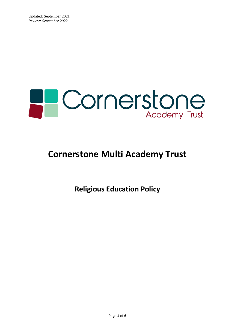

# **Cornerstone Multi Academy Trust**

**Religious Education Policy**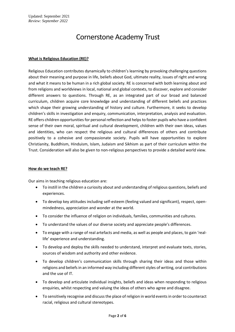# Cornerstone Academy Trust

## **What is Religious Education (RE)?**

Religious Education contributes dynamically to children's learning by provoking challenging questions about their meaning and purpose in life, beliefs about God, ultimate reality, issues of right and wrong and what it means to be human in a rich global society. RE is concerned with both learning about and from religions and worldviews in local, national and global contexts, to discover, explore and consider different answers to questions. Through RE, as an integrated part of our broad and balanced curriculum, children acquire core knowledge and understanding of different beliefs and practices which shape their growing understanding of history and culture. Furthermore, it seeks to develop children's skills in investigation and enquiry, communication, interpretation, analysis and evaluation. RE offers children opportunities for personal reflection and helps to foster pupils who have a confident sense of their own moral, spiritual and cultural development, children with their own ideas, values and identities, who can respect the religious and cultural differences of others and contribute positively to a cohesive and compassionate society. Pupils will have opportunities to explore Christianity, Buddhism, Hinduism, Islam, Judaism and Sikhism as part of their curriculum within the Trust. Consideration will also be given to non-religious perspectives to provide a detailed world view.

#### **How do we teach RE?**

Our aims in teaching religious education are:

- To instill in the children a curiosity about and understanding of religious questions, beliefs and experiences.
- To develop key attitudes including self-esteem (feeling valued and significant), respect, openmindedness, appreciation and wonder at the world.
- To consider the influence of religion on individuals, families, communities and cultures.
- To understand the values of our diverse society and appreciate people's differences.
- To engage with a range of real artefacts and media, as well as people and places, to gain 'reallife' experience and understanding.
- To develop and deploy the skills needed to understand, interpret and evaluate texts, stories, sources of wisdom and authority and other evidence.
- To develop children's communication skills through sharing their ideas and those within religions and beliefs in an informed way including different styles of writing, oral contributions and the use of IT.
- To develop and articulate individual insights, beliefs and ideas when responding to religious enquiries, whilst respecting and valuing the ideas of others who agree and disagree.
- To sensitively recognise and discuss the place of religion in world events in order to counteract racial, religious and cultural stereotypes.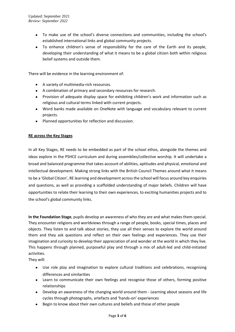- To make use of the school's diverse connections and communities, including the school's established international links and global community projects.
- To enhance children's sense of responsibility for the care of the Earth and its people, developing their understanding of what it means to be a global citizen both within religious belief systems and outside them.

There will be evidence in the learning environment of:

- A variety of multimedia-rich resources.
- A combination of primary and secondary resources for research.
- Provision of adequate display space for exhibiting children's work and information such as religious and cultural terms linked with current projects.
- Word banks made available on OneNote with language and vocabulary relevant to current projects.
- Planned opportunities for reflection and discussion.

#### **RE across the Key Stages**

In all Key Stages, RE needs to be embedded as part of the school ethos, alongside the themes and ideas explore in the PSHCE curriculum and during assemblies/collective worship. It will undertake a broad and balanced programme that takes account of abilities, aptitudes and physical, emotional and intellectual development. Making strong links with the British Council Themes around what it means to be a 'Global Citizen', RE learning and development across the school will focus around key enquiries and questions, as well as providing a scaffolded understanding of major beliefs. Children will have opportunities to relate their learning to their own experiences, to exciting humanities projects and to the school's global community links.

**In the Foundation Stage**, pupils develop an awareness of who they are and what makes them special. They encounter religions and worldviews through a range of people, books, special times, places and objects. They listen to and talk about stories, they use all their senses to explore the world around them and they ask questions and reflect on their own feelings and experiences. They use their imagination and curiosity to develop their appreciation of and wonder at the world in which they live. This happens through planned, purposeful play and through a mix of adult-led and child-initiated activities.

They will:

- Use role play and imagination to explore cultural traditions and celebrations, recognising differences and similarities
- Learn to communicate their own feelings and recognise those of others, forming positive relationships
- Develop an awareness of the changing world around them Learning about seasons and life cycles through photographs, artefacts and 'hands-on' experiences
- Begin to know about their own cultures and beliefs and those of other people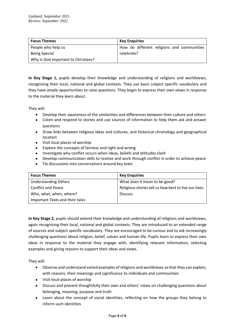| <b>Focus Themes</b>                 | <b>Key Enguiries</b>                       |
|-------------------------------------|--------------------------------------------|
| People who help us                  | How do different religions and communities |
| <b>Being Special</b>                | celebrate?                                 |
| Why is God important to Christians? |                                            |

**In Key Stage 1,** pupils develop their knowledge and understanding of religions and worldviews, recognising their local, national and global contexts. They use basic subject specific vocabulary and they have ample opportunities to raise questions. They begin to express their own views in response to the material they learn about.

They will:

- Develop their awareness of the similarities and differences between their culture and others
- Listen and respond to stories and use sources of information to help them ask and answer questions
- Draw links between religious ideas and cultures, and historical chronology and geographical location
- Visit local places of worship
- Explore the concepts of fairness and right and wrong
- Investigate why conflict occurs when ideas, beliefs and attitudes clash
- Develop communication skills to resolve and work through conflict in order to achieve peace
- Tie discussions into conversations around key texts

| <b>Focus Themes</b>             | <b>Key Enquiries</b>                                  |
|---------------------------------|-------------------------------------------------------|
| <b>Understanding Others</b>     | What does it mean to be good?                         |
| <b>Conflict and Peace</b>       | Religious stories tell us how best to live our lives. |
| Who, what, when, where?         | Discuss.                                              |
| Important Texts and their tales |                                                       |

**In Key Stage 2,** pupils should extend their knowledge and understanding of religions and worldviews, again recognising their local, national and global contexts. They are introduced to an extended range of sources and subject specific vocabulary. They are encouraged to be curious and to ask increasingly challenging questions about religion, belief, values and human life. Pupils learn to express their own ideas in response to the material they engage with, identifying relevant information, selecting examples and giving reasons to support their ideas and views.

They will:

- Observe and understand varied examples of religions and worldviews so that they can explain, with reasons, their meanings and significance to individuals and communities
- Visit local places of worship
- Discuss and present thoughtfully their own and others' views on challenging questions about belonging, meaning, purpose and truth
- Learn about the concept of social identities, reflecting on how the groups they belong to inform such identities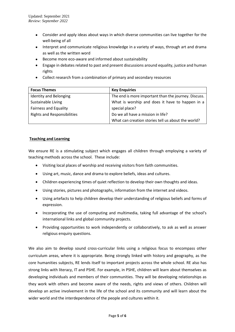- Consider and apply ideas about ways in which diverse communities can live together for the well-being of all
- Interpret and communicate religious knowledge in a variety of ways, through art and drama as well as the written word
- Become more eco-aware and informed about sustainability
- Engage in debates related to past and present discussions around equality, justice and human rights
- Collect research from a combination of primary and secondary resources

| <b>Focus Themes</b>                | <b>Key Enquiries</b>                                 |
|------------------------------------|------------------------------------------------------|
| Identity and Belonging             | The end is more important than the journey. Discuss. |
| Sustainable Living                 | What is worship and does it have to happen in a      |
| <b>Fairness and Equality</b>       | special place?                                       |
| <b>Rights and Responsibilities</b> | Do we all have a mission in life?                    |
|                                    | What can creation stories tell us about the world?   |

## **Teaching and Learning**

We ensure RE is a stimulating subject which engages all children through employing a variety of teaching methods across the school. These include:

- Visiting local places of worship and receiving visitors from faith communities.
- Using art, music, dance and drama to explore beliefs, ideas and cultures.
- Children experiencing times of quiet reflection to develop their own thoughts and ideas.
- Using stories, pictures and photographs, information from the internet and videos.
- Using artefacts to help children develop their understanding of religious beliefs and forms of expression.
- Incorporating the use of computing and multimedia, taking full advantage of the school's international links and global community projects.
- Providing opportunities to work independently or collaboratively, to ask as well as answer religious enquiry questions.

We also aim to develop sound cross-curricular links using a religious focus to encompass other curriculum areas, where it is appropriate. Being strongly linked with history and geography, as the core humanities subjects, RE lends itself to important projects across the whole school. RE also has strong links with literacy, IT and PSHE. For example, in PSHE, children will learn about themselves as developing individuals and members of their communities. They will be developing relationships as they work with others and become aware of the needs, rights and views of others. Children will develop an active involvement in the life of the school and its community and will learn about the wider world and the interdependence of the people and cultures within it.